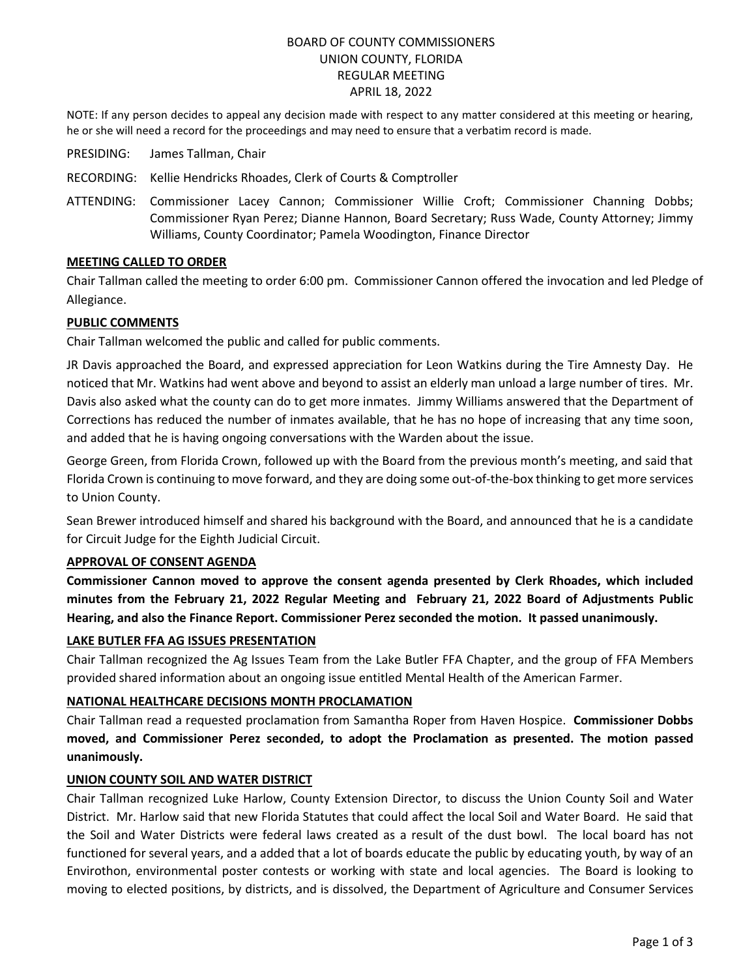# BOARD OF COUNTY COMMISSIONERS UNION COUNTY, FLORIDA REGULAR MEETING APRIL 18, 2022

NOTE: If any person decides to appeal any decision made with respect to any matter considered at this meeting or hearing, he or she will need a record for the proceedings and may need to ensure that a verbatim record is made.

- PRESIDING: James Tallman, Chair
- RECORDING: Kellie Hendricks Rhoades, Clerk of Courts & Comptroller
- ATTENDING: Commissioner Lacey Cannon; Commissioner Willie Croft; Commissioner Channing Dobbs; Commissioner Ryan Perez; Dianne Hannon, Board Secretary; Russ Wade, County Attorney; Jimmy Williams, County Coordinator; Pamela Woodington, Finance Director

#### **MEETING CALLED TO ORDER**

Chair Tallman called the meeting to order 6:00 pm. Commissioner Cannon offered the invocation and led Pledge of Allegiance.

## **PUBLIC COMMENTS**

Chair Tallman welcomed the public and called for public comments.

JR Davis approached the Board, and expressed appreciation for Leon Watkins during the Tire Amnesty Day. He noticed that Mr. Watkins had went above and beyond to assist an elderly man unload a large number of tires. Mr. Davis also asked what the county can do to get more inmates. Jimmy Williams answered that the Department of Corrections has reduced the number of inmates available, that he has no hope of increasing that any time soon, and added that he is having ongoing conversations with the Warden about the issue.

George Green, from Florida Crown, followed up with the Board from the previous month's meeting, and said that Florida Crown is continuing to move forward, and they are doing some out-of-the-box thinking to get more services to Union County.

Sean Brewer introduced himself and shared his background with the Board, and announced that he is a candidate for Circuit Judge for the Eighth Judicial Circuit.

#### **APPROVAL OF CONSENT AGENDA**

**Commissioner Cannon moved to approve the consent agenda presented by Clerk Rhoades, which included minutes from the February 21, 2022 Regular Meeting and February 21, 2022 Board of Adjustments Public Hearing, and also the Finance Report. Commissioner Perez seconded the motion. It passed unanimously.**

#### **LAKE BUTLER FFA AG ISSUES PRESENTATION**

Chair Tallman recognized the Ag Issues Team from the Lake Butler FFA Chapter, and the group of FFA Members provided shared information about an ongoing issue entitled Mental Health of the American Farmer.

## **NATIONAL HEALTHCARE DECISIONS MONTH PROCLAMATION**

Chair Tallman read a requested proclamation from Samantha Roper from Haven Hospice. **Commissioner Dobbs moved, and Commissioner Perez seconded, to adopt the Proclamation as presented. The motion passed unanimously.**

## **UNION COUNTY SOIL AND WATER DISTRICT**

Chair Tallman recognized Luke Harlow, County Extension Director, to discuss the Union County Soil and Water District. Mr. Harlow said that new Florida Statutes that could affect the local Soil and Water Board. He said that the Soil and Water Districts were federal laws created as a result of the dust bowl. The local board has not functioned for several years, and a added that a lot of boards educate the public by educating youth, by way of an Envirothon, environmental poster contests or working with state and local agencies. The Board is looking to moving to elected positions, by districts, and is dissolved, the Department of Agriculture and Consumer Services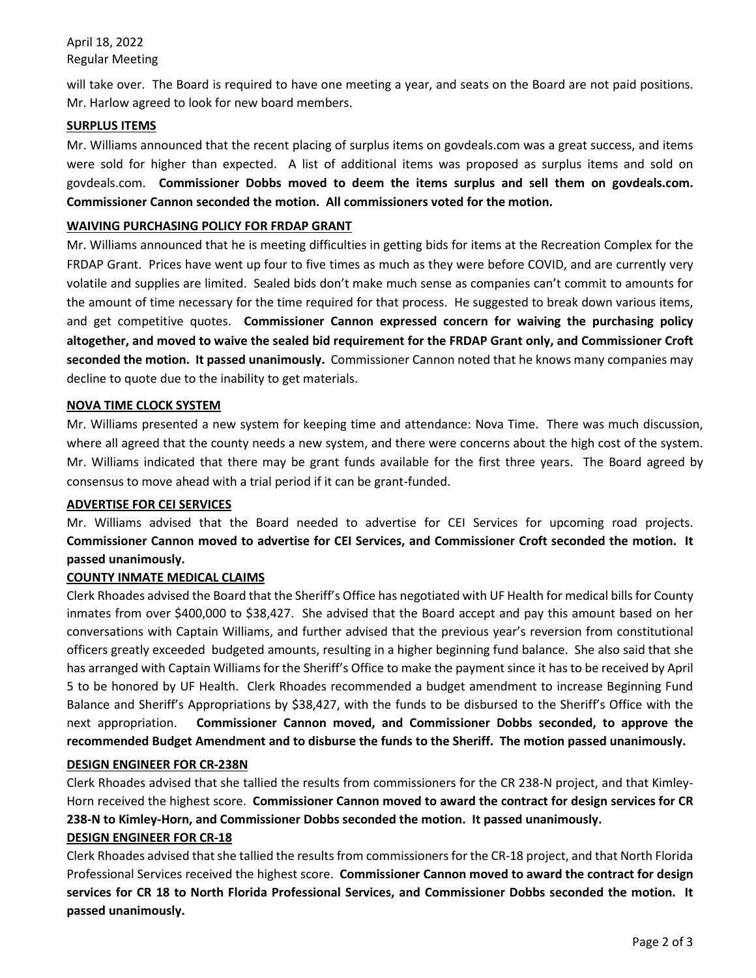April 18, 2022 Regular Meeting

will take over. The Board is required to have one meeting a year, and seats on the Board are not paid positions. Mr. Harlow agreed to look for new board members.

## **SURPLUS ITEMS**

Mr. Williams announced that the recent placing of surplus items on govdeals.com was a great success, and items were sold for higher than expected. A list of additional items was proposed as surplus items and sold on govdeals.com. **Commissioner Dobbs moved to deem the items surplus and sell them on govdeals.com. Commissioner Cannon seconded the motion. All commissioners voted for the motion.** 

## **WAIVING PURCHASING POLICY FOR FRDAP GRANT**

Mr. Williams announced that he is meeting difficulties in getting bids for items at the Recreation Complex for the FRDAP Grant. Prices have went up four to five times as much as they were before COVID, and are currently very volatile and supplies are limited. Sealed bids don't make much sense as companies can't commit to amounts for the amount of time necessary for the time required for that process. He suggested to break down various items, and get competitive quotes. **Commissioner Cannon expressed concern for waiving the purchasing policy altogether, and moved to waive the sealed bid requirement for the FRDAP Grant only, and Commissioner Croft seconded the motion. It passed unanimously.** Commissioner Cannon noted that he knows many companies may decline to quote due to the inability to get materials.

## **NOVA TIME CLOCK SYSTEM**

Mr. Williams presented a new system for keeping time and attendance: Nova Time. There was much discussion, where all agreed that the county needs a new system, and there were concerns about the high cost of the system. Mr. Williams indicated that there may be grant funds available for the first three years. The Board agreed by consensus to move ahead with a trial period if it can be grant-funded.

## **ADVERTISE FOR CEI SERVICES**

Mr. Williams advised that the Board needed to advertise for CEI Services for upcoming road projects. **Commissioner Cannon moved to advertise for CEI Services, and Commissioner Croft seconded the motion. It passed unanimously.**

## **COUNTY INMATE MEDICAL CLAIMS**

Clerk Rhoades advised the Board that the Sheriff's Office has negotiated with UF Health for medical bills for County inmates from over \$400,000 to \$38,427. She advised that the Board accept and pay this amount based on her conversations with Captain Williams, and further advised that the previous year's reversion from constitutional officers greatly exceeded budgeted amounts, resulting in a higher beginning fund balance. She also said that she has arranged with Captain Williams for the Sheriff's Office to make the payment since it has to be received by April 5 to be honored by UF Health. Clerk Rhoades recommended a budget amendment to increase Beginning Fund Balance and Sheriff's Appropriations by \$38,427, with the funds to be disbursed to the Sheriff's Office with the next appropriation. **Commissioner Cannon moved, and Commissioner Dobbs seconded, to approve the recommended Budget Amendment and to disburse the funds to the Sheriff. The motion passed unanimously.**

## **DESIGN ENGINEER FOR CR-238N**

Clerk Rhoades advised that she tallied the results from commissioners for the CR 238-N project, and that Kimley-Horn received the highest score. **Commissioner Cannon moved to award the contract for design services for CR 238-N to Kimley-Horn, and Commissioner Dobbs seconded the motion. It passed unanimously.**

# **DESIGN ENGINEER FOR CR-18**

Clerk Rhoades advised that she tallied the results from commissioners for the CR-18 project, and that North Florida Professional Services received the highest score. **Commissioner Cannon moved to award the contract for design services for CR 18 to North Florida Professional Services, and Commissioner Dobbs seconded the motion. It passed unanimously.**